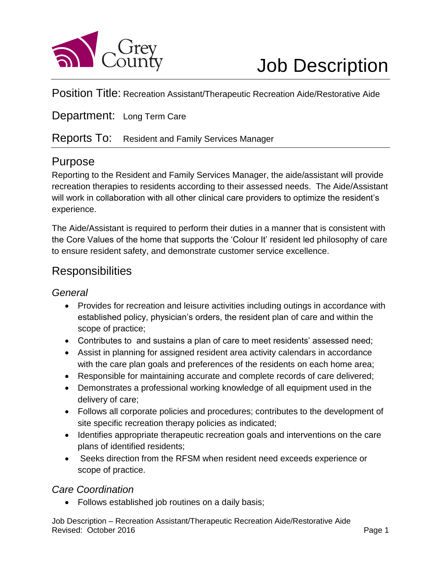

Position Title: Recreation Assistant/Therapeutic Recreation Aide/Restorative Aide

Department: Long Term Care

#### Reports To: Resident and Family Services Manager

## Purpose

Reporting to the Resident and Family Services Manager, the aide/assistant will provide recreation therapies to residents according to their assessed needs. The Aide/Assistant will work in collaboration with all other clinical care providers to optimize the resident's experience.

The Aide/Assistant is required to perform their duties in a manner that is consistent with the Core Values of the home that supports the 'Colour It' resident led philosophy of care to ensure resident safety, and demonstrate customer service excellence.

## **Responsibilities**

#### *General*

- Provides for recreation and leisure activities including outings in accordance with established policy, physician's orders, the resident plan of care and within the scope of practice;
- Contributes to and sustains a plan of care to meet residents' assessed need;
- Assist in planning for assigned resident area activity calendars in accordance with the care plan goals and preferences of the residents on each home area;
- Responsible for maintaining accurate and complete records of care delivered;
- Demonstrates a professional working knowledge of all equipment used in the delivery of care;
- Follows all corporate policies and procedures; contributes to the development of site specific recreation therapy policies as indicated;
- Identifies appropriate therapeutic recreation goals and interventions on the care plans of identified residents;
- Seeks direction from the RFSM when resident need exceeds experience or scope of practice.

#### *Care Coordination*

Follows established job routines on a daily basis;

Job Description – Recreation Assistant/Therapeutic Recreation Aide/Restorative Aide Revised: October 2016 **Page 1 Page 1 Page 1**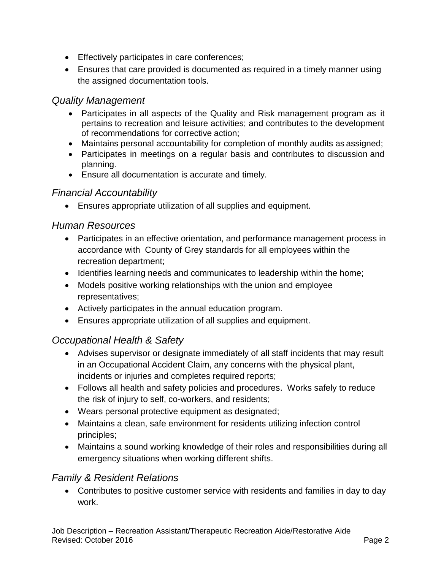- **Effectively participates in care conferences;**
- Ensures that care provided is documented as required in a timely manner using the assigned documentation tools.

#### *Quality Management*

- Participates in all aspects of the Quality and Risk management program as it pertains to recreation and leisure activities; and contributes to the development of recommendations for corrective action;
- Maintains personal accountability for completion of monthly audits as assigned;
- Participates in meetings on a regular basis and contributes to discussion and planning.
- Ensure all documentation is accurate and timely.

#### *Financial Accountability*

Ensures appropriate utilization of all supplies and equipment.

#### *Human Resources*

- Participates in an effective orientation, and performance management process in accordance with County of Grey standards for all employees within the recreation department;
- Identifies learning needs and communicates to leadership within the home;
- Models positive working relationships with the union and employee representatives;
- Actively participates in the annual education program.
- Ensures appropriate utilization of all supplies and equipment.

## *Occupational Health & Safety*

- Advises supervisor or designate immediately of all staff incidents that may result in an Occupational Accident Claim, any concerns with the physical plant, incidents or injuries and completes required reports;
- Follows all health and safety policies and procedures. Works safely to reduce the risk of injury to self, co-workers, and residents;
- Wears personal protective equipment as designated;
- Maintains a clean, safe environment for residents utilizing infection control principles;
- Maintains a sound working knowledge of their roles and responsibilities during all emergency situations when working different shifts.

## *Family & Resident Relations*

 Contributes to positive customer service with residents and families in day to day work.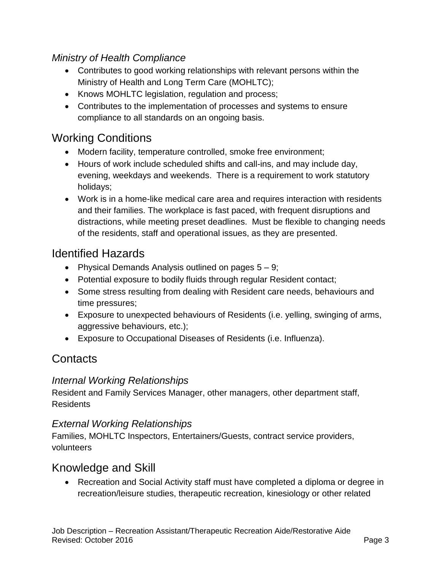## *Ministry of Health Compliance*

- Contributes to good working relationships with relevant persons within the Ministry of Health and Long Term Care (MOHLTC);
- Knows MOHLTC legislation, regulation and process;
- Contributes to the implementation of processes and systems to ensure compliance to all standards on an ongoing basis.

# Working Conditions

- Modern facility, temperature controlled, smoke free environment;
- Hours of work include scheduled shifts and call-ins, and may include day, evening, weekdays and weekends. There is a requirement to work statutory holidays;
- Work is in a home-like medical care area and requires interaction with residents and their families. The workplace is fast paced, with frequent disruptions and distractions, while meeting preset deadlines. Must be flexible to changing needs of the residents, staff and operational issues, as they are presented.

# Identified Hazards

- Physical Demands Analysis outlined on pages  $5 9$ ;
- Potential exposure to bodily fluids through regular Resident contact;
- Some stress resulting from dealing with Resident care needs, behaviours and time pressures;
- Exposure to unexpected behaviours of Residents (i.e. yelling, swinging of arms, aggressive behaviours, etc.);
- Exposure to Occupational Diseases of Residents (i.e. Influenza).

# **Contacts**

#### *Internal Working Relationships*

Resident and Family Services Manager, other managers, other department staff, **Residents** 

#### *External Working Relationships*

Families, MOHLTC Inspectors, Entertainers/Guests, contract service providers, volunteers

# Knowledge and Skill

 Recreation and Social Activity staff must have completed a diploma or degree in recreation/leisure studies, therapeutic recreation, kinesiology or other related